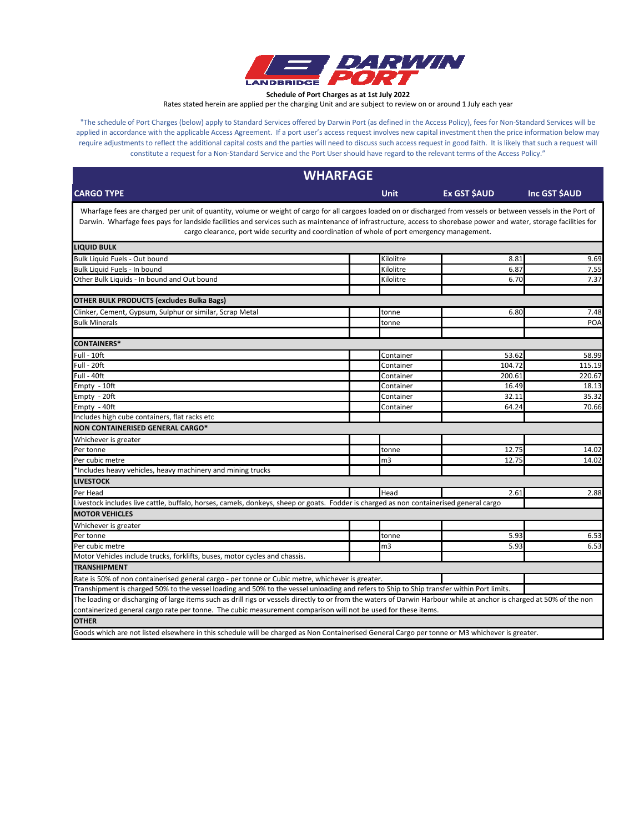

**Schedule of Port Charges as at 1st July 2022**

Rates stated herein are applied per the charging Unit and are subject to review on or around 1 July each year

"The schedule of Port Charges (below) apply to Standard Services offered by Darwin Port (as defined in the Access Policy), fees for Non-Standard Services will be applied in accordance with the applicable Access Agreement. If a port user's access request involves new capital investment then the price information below may require adjustments to reflect the additional capital costs and the parties will need to discuss such access request in good faith. It is likely that such a request will constitute a request for a Non-Standard Service and the Port User should have regard to the relevant terms of the Access Policy."

| <b>WHARFAGE</b>                                                                                                                                                                                                                                                                                                                                                                                                                       |             |                    |              |
|---------------------------------------------------------------------------------------------------------------------------------------------------------------------------------------------------------------------------------------------------------------------------------------------------------------------------------------------------------------------------------------------------------------------------------------|-------------|--------------------|--------------|
| <b>CARGO TYPE</b>                                                                                                                                                                                                                                                                                                                                                                                                                     | <b>Unit</b> | <b>Ex GST SAUD</b> | Inc GST SAUD |
| Wharfage fees are charged per unit of quantity, volume or weight of cargo for all cargoes loaded on or discharged from vessels or between vessels in the Port of<br>Darwin. Wharfage fees pays for landside facilities and services such as maintenance of infrastructure, access to shorebase power and water, storage facilities for<br>cargo clearance, port wide security and coordination of whole of port emergency management. |             |                    |              |
| <b>LIQUID BULK</b>                                                                                                                                                                                                                                                                                                                                                                                                                    |             |                    |              |
| Bulk Liquid Fuels - Out bound                                                                                                                                                                                                                                                                                                                                                                                                         | Kilolitre   | 8.81               | 9.69         |
| Bulk Liquid Fuels - In bound                                                                                                                                                                                                                                                                                                                                                                                                          | Kilolitre   | 6.87               | 7.55         |
| Other Bulk Liquids - In bound and Out bound                                                                                                                                                                                                                                                                                                                                                                                           | Kilolitre   | 6.70               | 7.37         |
| <b>OTHER BULK PRODUCTS (excludes Bulka Bags)</b>                                                                                                                                                                                                                                                                                                                                                                                      |             |                    |              |
| Clinker, Cement, Gypsum, Sulphur or similar, Scrap Metal                                                                                                                                                                                                                                                                                                                                                                              | tonne       | 6.80               | 7.48         |
| <b>Bulk Minerals</b>                                                                                                                                                                                                                                                                                                                                                                                                                  | tonne       |                    | <b>POA</b>   |
|                                                                                                                                                                                                                                                                                                                                                                                                                                       |             |                    |              |
| <b>CONTAINERS*</b>                                                                                                                                                                                                                                                                                                                                                                                                                    |             |                    |              |
| Full - 10ft                                                                                                                                                                                                                                                                                                                                                                                                                           | Container   | 53.62              | 58.99        |
| Full - 20ft                                                                                                                                                                                                                                                                                                                                                                                                                           | Container   | 104.72             | 115.19       |
| Full - 40ft                                                                                                                                                                                                                                                                                                                                                                                                                           | Container   | 200.61             | 220.67       |
| Empty - 10ft                                                                                                                                                                                                                                                                                                                                                                                                                          | Container   | 16.49              | 18.13        |
| Empty - 20ft                                                                                                                                                                                                                                                                                                                                                                                                                          | Container   | 32.11              | 35.32        |
| Empty - 40ft                                                                                                                                                                                                                                                                                                                                                                                                                          | Container   | 64.24              | 70.66        |
| Includes high cube containers, flat racks etc                                                                                                                                                                                                                                                                                                                                                                                         |             |                    |              |
| NON CONTAINERISED GENERAL CARGO*                                                                                                                                                                                                                                                                                                                                                                                                      |             |                    |              |
| Whichever is greater                                                                                                                                                                                                                                                                                                                                                                                                                  |             |                    |              |
| Per tonne                                                                                                                                                                                                                                                                                                                                                                                                                             | tonne       | 12.75              | 14.02        |
| Per cubic metre                                                                                                                                                                                                                                                                                                                                                                                                                       | m3          | 12.75              | 14.02        |
| *Includes heavy vehicles, heavy machinery and mining trucks                                                                                                                                                                                                                                                                                                                                                                           |             |                    |              |
| <b>LIVESTOCK</b>                                                                                                                                                                                                                                                                                                                                                                                                                      |             |                    |              |
| Per Head                                                                                                                                                                                                                                                                                                                                                                                                                              | Head        | 2.61               | 2.88         |
| Livestock includes live cattle, buffalo, horses, camels, donkeys, sheep or goats. Fodder is charged as non containerised general cargo                                                                                                                                                                                                                                                                                                |             |                    |              |
| <b>MOTOR VEHICLES</b>                                                                                                                                                                                                                                                                                                                                                                                                                 |             |                    |              |
| Whichever is greater                                                                                                                                                                                                                                                                                                                                                                                                                  |             |                    |              |
| Per tonne                                                                                                                                                                                                                                                                                                                                                                                                                             | tonne       | 5.93               | 6.53         |
| Per cubic metre                                                                                                                                                                                                                                                                                                                                                                                                                       | m3          | 5.93               | 6.53         |
| Motor Vehicles include trucks, forklifts, buses, motor cycles and chassis.                                                                                                                                                                                                                                                                                                                                                            |             |                    |              |
| <b>TRANSHIPMENT</b>                                                                                                                                                                                                                                                                                                                                                                                                                   |             |                    |              |
| Rate is 50% of non containerised general cargo - per tonne or Cubic metre, whichever is greater.                                                                                                                                                                                                                                                                                                                                      |             |                    |              |
| Transhipment is charged 50% to the vessel loading and 50% to the vessel unloading and refers to Ship to Ship transfer within Port limits.                                                                                                                                                                                                                                                                                             |             |                    |              |
| The loading or discharging of large items such as drill rigs or vessels directly to or from the waters of Darwin Harbour while at anchor is charged at 50% of the non                                                                                                                                                                                                                                                                 |             |                    |              |
| containerized general cargo rate per tonne. The cubic measurement comparison will not be used for these items.                                                                                                                                                                                                                                                                                                                        |             |                    |              |
| <b>OTHER</b>                                                                                                                                                                                                                                                                                                                                                                                                                          |             |                    |              |
| Goods which are not listed elsewhere in this schedule will be charged as Non Containerised General Cargo per tonne or M3 whichever is greater.                                                                                                                                                                                                                                                                                        |             |                    |              |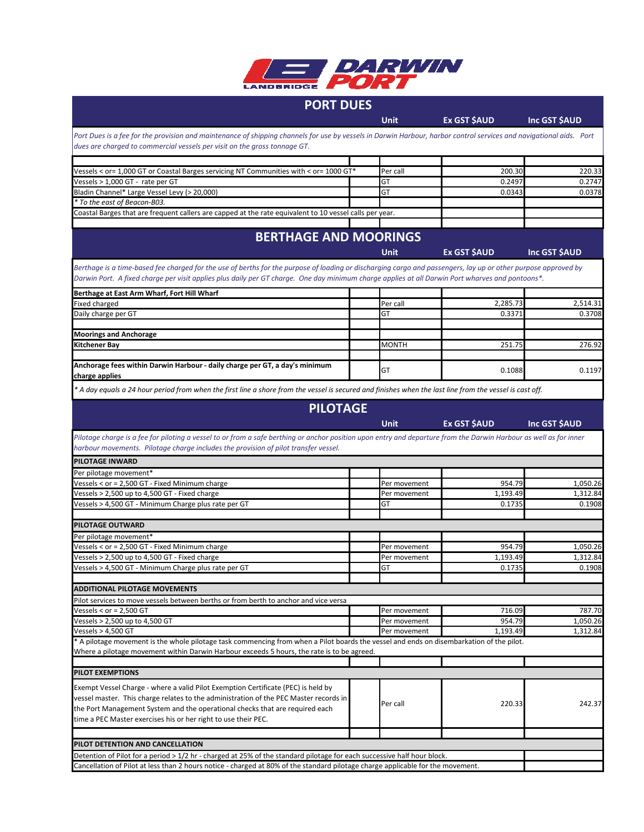

## **PORT DUES**

Unit **Ex GST \$AUD** Inc GST \$AUD

*Port Dues is a fee for the provision and maintenance of shipping channels for use by vessels in Darwin Harbour, harbor control services and navigational aids. Port dues are charged to commercial vessels per visit on the gross tonnage GT.*

| Vessels < or= 1,000 GT or Coastal Barges servicing NT Communities with < or= 1000 GT*                   |  | Per call | 200.30 | 220.33 |
|---------------------------------------------------------------------------------------------------------|--|----------|--------|--------|
| Vessels > 1,000 GT - rate per GT                                                                        |  | G1       | 0.2497 | 0.2747 |
| Bladin Channel* Large Vessel Levy (> 20,000)                                                            |  |          | 0.0343 | 0.0378 |
| * To the east of Beacon-B03.                                                                            |  |          |        |        |
| Coastal Barges that are frequent callers are capped at the rate equivalent to 10 vessel calls per year. |  |          |        |        |

## **BERTHAGE AND MOORINGS**

|                                                                                                                                                                    | <b>Unit</b>  | Ex GST \$AUD | Inc GST \$AUD |
|--------------------------------------------------------------------------------------------------------------------------------------------------------------------|--------------|--------------|---------------|
| Berthage is a time-based fee charged for the use of berths for the purpose of loading or discharging cargo and passengers, lay up or other purpose approved by     |              |              |               |
| Darwin Port. A fixed charge per visit applies plus daily per GT charge. One day minimum charge applies at all Darwin Port wharves and pontoons*.                   |              |              |               |
| Berthage at East Arm Wharf, Fort Hill Wharf                                                                                                                        |              |              |               |
| Fixed charged                                                                                                                                                      | Per call     | 2,285.73     | 2,514.31      |
| Daily charge per GT                                                                                                                                                | GT           | 0.3371       | 0.3708        |
| <b>Moorings and Anchorage</b>                                                                                                                                      |              |              |               |
| <b>Kitchener Bay</b>                                                                                                                                               | <b>MONTH</b> | 251.75       | 276.92        |
| Anchorage fees within Darwin Harbour - daily charge per GT, a day's minimum                                                                                        |              |              |               |
| charge applies                                                                                                                                                     | GT           | 0.1088       | 0.1197        |
| * A day equals a 24 hour period from when the first line a shore from the vessel is secured and finishes when the last line from the vessel is cast off.           |              |              |               |
| <b>PILOTAGE</b>                                                                                                                                                    |              |              |               |
|                                                                                                                                                                    | <b>Unit</b>  | Ex GST \$AUD | Inc GST \$AUD |
| Pilotage charge is a fee for piloting a vessel to or from a safe berthing or anchor position upon entry and departure from the Darwin Harbour as well as for inner |              |              |               |
| harbour movements. Pilotage charge includes the provision of pilot transfer vessel.                                                                                |              |              |               |
| <b>PILOTAGE INWARD</b>                                                                                                                                             |              |              |               |
| Per pilotage movement*                                                                                                                                             |              |              |               |
| Vessels < or = 2,500 GT - Fixed Minimum charge                                                                                                                     | Per movement | 954.79       | 1,050.26      |
| Vessels > 2,500 up to 4,500 GT - Fixed charge                                                                                                                      | Per movement | 1,193.49     | 1,312.84      |
| Vessels > 4,500 GT - Minimum Charge plus rate per GT                                                                                                               | GT           | 0.1735       | 0.1908        |
| <b>PILOTAGE OUTWARD</b>                                                                                                                                            |              |              |               |
| Per pilotage movement*                                                                                                                                             |              |              |               |
| Vessels < or = 2,500 GT - Fixed Minimum charge                                                                                                                     | Per movement | 954.79       | 1,050.26      |
| Vessels > 2,500 up to 4,500 GT - Fixed charge                                                                                                                      | Per movement | 1,193.49     | 1,312.84      |
| Vessels > 4,500 GT - Minimum Charge plus rate per GT                                                                                                               | GT           | 0.1735       | 0.1908        |
| <b>ADDITIONAL PILOTAGE MOVEMENTS</b>                                                                                                                               |              |              |               |
| Pilot services to move vessels between berths or from berth to anchor and vice versa                                                                               |              |              |               |
| Vessels < $or = 2,500 GT$                                                                                                                                          | Per movement | 716.09       | 787.70        |
| Vessels > 2,500 up to 4,500 GT                                                                                                                                     | Per movement | 954.79       | 1,050.26      |
| Vessels $> 4,500$ GT                                                                                                                                               | Per movement | 1,193.49     | 1,312.84      |
| * A pilotage movement is the whole pilotage task commencing from when a Pilot boards the vessel and ends on disembarkation of the pilot.                           |              |              |               |
| Where a pilotage movement within Darwin Harbour exceeds 5 hours, the rate is to be agreed.                                                                         |              |              |               |
| PILOT EXEMPTIONS                                                                                                                                                   |              |              |               |
| Exempt Vessel Charge - where a valid Pilot Exemption Certificate (PEC) is held by                                                                                  |              |              |               |
| vessel master. This charge relates to the administration of the PEC Master records in                                                                              |              |              |               |
| the Port Management System and the operational checks that are required each                                                                                       | Per call     | 220.33       | 242.37        |
| time a PEC Master exercises his or her right to use their PEC.                                                                                                     |              |              |               |
|                                                                                                                                                                    |              |              |               |
| PILOT DETENTION AND CANCELLATION                                                                                                                                   |              |              |               |
| Detention of Pilot for a period > 1/2 hr - charged at 25% of the standard pilotage for each successive half hour block.                                            |              |              |               |

Cancellation of Pilot at less than 2 hours notice - charged at 80% of the standard pilotage charge applicable for the movement.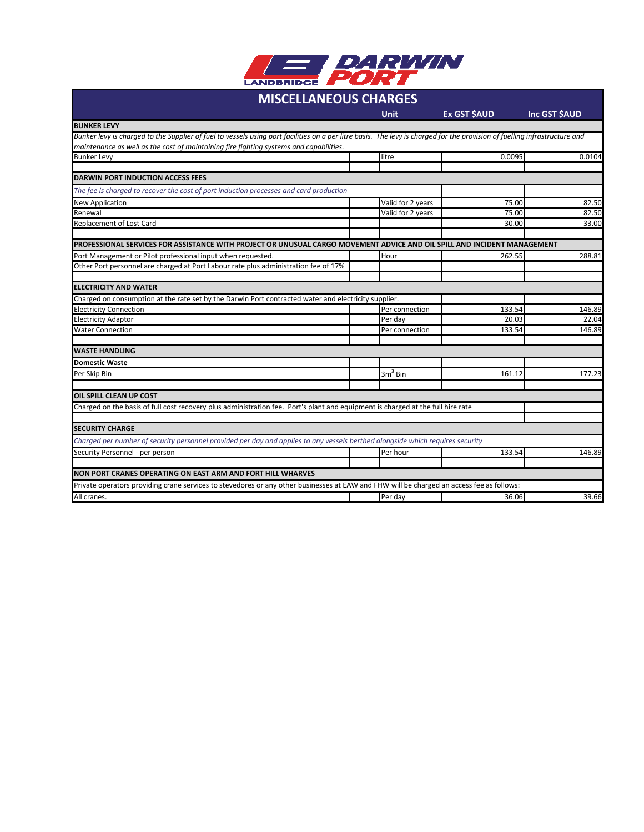

## **MISCELLANEOUS CHARGES**

|                                                                                                                                                                            | <b>Unit</b>       | <b>Ex GST \$AUD</b> | Inc GST \$AUD |
|----------------------------------------------------------------------------------------------------------------------------------------------------------------------------|-------------------|---------------------|---------------|
| <b>BUNKER LEVY</b>                                                                                                                                                         |                   |                     |               |
| Bunker levy is charged to the Supplier of fuel to vessels using port facilities on a per litre basis. The levy is charged for the provision of fuelling infrastructure and |                   |                     |               |
| maintenance as well as the cost of maintaining fire fighting systems and capabilities.                                                                                     |                   |                     |               |
| <b>Bunker Levy</b>                                                                                                                                                         | litre             | 0.0095              | 0.0104        |
|                                                                                                                                                                            |                   |                     |               |
| <b>DARWIN PORT INDUCTION ACCESS FEES</b>                                                                                                                                   |                   |                     |               |
| The fee is charged to recover the cost of port induction processes and card production                                                                                     |                   |                     |               |
| <b>New Application</b>                                                                                                                                                     | Valid for 2 years | 75.00               | 82.50         |
| Renewal                                                                                                                                                                    | Valid for 2 years | 75.00               | 82.50         |
| Replacement of Lost Card                                                                                                                                                   |                   | 30.00               | 33.00         |
| PROFESSIONAL SERVICES FOR ASSISTANCE WITH PROJECT OR UNUSUAL CARGO MOVEMENT ADVICE AND OIL SPILL AND INCIDENT MANAGEMENT                                                   |                   |                     |               |
| Port Management or Pilot professional input when requested.                                                                                                                | Hour              | 262.55              | 288.81        |
| Other Port personnel are charged at Port Labour rate plus administration fee of 17%                                                                                        |                   |                     |               |
| <b>ELECTRICITY AND WATER</b>                                                                                                                                               |                   |                     |               |
| Charged on consumption at the rate set by the Darwin Port contracted water and electricity supplier.                                                                       |                   |                     |               |
| <b>Electricity Connection</b>                                                                                                                                              | Per connection    | 133.54              | 146.89        |
| <b>Electricity Adaptor</b>                                                                                                                                                 | Per day           | 20.03               | 22.04         |
| <b>Water Connection</b>                                                                                                                                                    | Per connection    | 133.54              | 146.89        |
| <b>WASTE HANDLING</b>                                                                                                                                                      |                   |                     |               |
| <b>Domestic Waste</b>                                                                                                                                                      |                   |                     |               |
| Per Skip Bin                                                                                                                                                               | $3m3$ Bin         | 161.12              | 177.23        |
| <b>OIL SPILL CLEAN UP COST</b>                                                                                                                                             |                   |                     |               |
| Charged on the basis of full cost recovery plus administration fee. Port's plant and equipment is charged at the full hire rate                                            |                   |                     |               |
| <b>SECURITY CHARGE</b>                                                                                                                                                     |                   |                     |               |
| Charged per number of security personnel provided per day and applies to any vessels berthed alongside which requires security                                             |                   |                     |               |
| Security Personnel - per person                                                                                                                                            | Per hour          | 133.54              | 146.89        |
| NON PORT CRANES OPERATING ON EAST ARM AND FORT HILL WHARVES                                                                                                                |                   |                     |               |
| Private operators providing crane services to stevedores or any other businesses at EAW and FHW will be charged an access fee as follows:                                  |                   |                     |               |
| All cranes.                                                                                                                                                                | Per dav           | 36.06               | 39.66         |